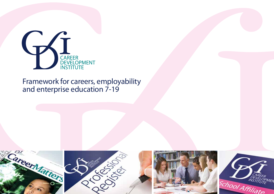

### Framework for careers, employability and enterprise education 7-19

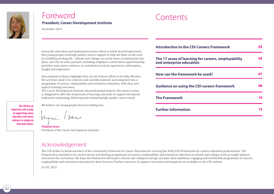

**The CDI has an important role to play in supporting career educators and career advisers to simply do their jobs better.**

### Foreword **President, Career Development Institute**

November 2015

Across the education and employment sectors there is whole hearted agreement that young people need high quality careers support to help set them on the road to a fulfilling working life. Schools and colleges are at the heart of putting that into place, and rely on other partners, including employers, universities, apprenticeship providers and careers advisers, to contribute practical experiences, information, insight and inspiration.

International evidence highlights that, for all of those efforts to be fully effective, the activities need to be coherent and carefully planned and integrated into a programme of careers, employability and enterprise education, with clear and explicit learning outcomes.

The Career Development Institute, the professional body for the careers sector, is delighted to offer this framework of learning outcomes to support the shared endeavour of planning, delivering and evaluating high quality careers work.

We believe our young people deserve nothing less.

Mari Saar

**Virginia Isaac** President of the Career Development Institute

### Acknowledgement

The CDI wishes to thank members of the Community of Interest for Career Education for revising the ACEG/CDI Framework for careers education professionals. The framework is intended to be used to devise and develop programmes of careers, employability and enterprise education in schools and colleges, both as taught subjects and across the curriculum. We hope the framework will inspire schools and colleges to design and plan more ambitious, engaging and worthwhile programmes of careers, employability and enterprise education for their learners. Further resources to support curriculum development are available on the CDI website.

© CDI, 2015

| <b>Introduction to the CDI Careers Framework</b>                                |    |
|---------------------------------------------------------------------------------|----|
| The 17 areas of learning for careers, employability<br>and enterprise education | 04 |
| How can the framework be used?                                                  |    |
| <b>Guidance on using the CDI careers framework</b>                              | 08 |
| <b>The Framework</b>                                                            | 10 |
| <b>Further Information</b>                                                      | 15 |

**Contents**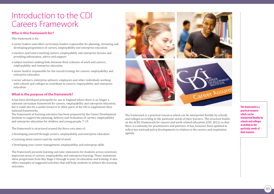### Introduction to the CDI Careers Framework

#### **Who is this framework for?**

This framework is for:

- career leaders and other curriculum leaders responsible for planning, reviewing and developing programmes of careers, employability and enterprise education
- teachers and tutors teaching careers, employability and enterprise lessons and providing information, advice and support
- subject teachers making links between their schemes of work and careers, employability and enterprise education
- senior leaders responsible for the overall strategy for careers, employability and enterprise education
- career advisers, enterprise advisers, employers and other individuals working with schools and colleges to contribute to careers, employability and enterprise education.

#### **What is the purpose of the framework?**

It has been developed principally for use in England where there is no longer a national curriculum framework for careers, employability and enterprise education, but it could also be a useful resource in other parts of the UK to supplement their national frameworks.

The framework of learning outcomes has been prepared by the Career Development Institute to support the planning, delivery and evaluation of careers, employability and enterprise education for children and young people, 7-19.

The framework is structured around the three core aims of:

- Developing yourself through careers, employability and enterprise education
- Learning about careers and the world of work
- Developing your career management, employability and enterprise skills

The framework presents learning outcome statements for students across seventeen important areas of careers, employability and enterprise learning. These statements show progression from Key Stage 2 through to post-16 education and training. It also offers examples of suggested activities that will help students to achieve the learning outcomes.



The framework is a practical resource which can be interpreted flexibly by schools and colleges according to the particular needs of their learners. The structure builds on the ACEG Framework for careers and work-related education (CDI, 2012) so that there is continuity for practitioners and partners. It has, however, been updated to reflect key national policy developments in relation to the careers and inspiration agenda.

**The framework is a practical resource which can be interpreted flexibly by schools and colleges according to the particular needs of their learners.**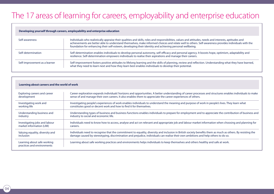# The 17 areas of learning for careers, employability and enterprise education

#### **Developing yourself through careers, employability and enterprise education**

| Self-awareness                | Individuals who realistically appraise their qualities and skills, roles and responsibilities, values and attitudes, needs and interests, aptitudes and<br>achievements are better able to understand themselves, make informed choices and relate well to others. Self-awareness provides individuals with the<br>foundation for enhancing their self-esteem, developing their identity and achieving personal wellbeing. |
|-------------------------------|----------------------------------------------------------------------------------------------------------------------------------------------------------------------------------------------------------------------------------------------------------------------------------------------------------------------------------------------------------------------------------------------------------------------------|
| Self-determination            | Self-determination enables individuals to develop personal autonomy, self-efficacy and personal agency. It boosts hope, optimism, adaptability and<br>resilience. Self-determination empowers individuals to realise their aspirations and manage their careers.                                                                                                                                                           |
| Self-improvement as a learner | Self-improvement fosters positive attitudes to lifelong learning and the skills of planning, review and reflection. Understanding what they have learned,<br>what they need to learn next and how they learn best enables individuals to develop their potential.                                                                                                                                                          |

| Learning about careers and the world of work              |                                                                                                                                                             |  |  |
|-----------------------------------------------------------|-------------------------------------------------------------------------------------------------------------------------------------------------------------|--|--|
| Exploring careers and career                              | Career exploration expands individuals' horizons and opportunities. A better understanding of career processes and structures enables individuals to make   |  |  |
| development                                               | sense of and manage their own careers. It also enables them to appreciate the career experiences of others.                                                 |  |  |
| Investigating work and                                    | Investigating people's experiences of work enables individuals to understand the meaning and purpose of work in people's lives. They learn what             |  |  |
| working life                                              | constitutes good or decent work and how to find it for themselves.                                                                                          |  |  |
| Understanding business and                                | Understanding types of business and business functions enables individuals to prepare for employment and to appreciate the contribution of business and     |  |  |
| industry                                                  | industry to social and economic life.                                                                                                                       |  |  |
| Investigating jobs and labour                             | Individuals need to know how to access, analyse and act on relevant and appropriate job and labour market information when choosing and planning for        |  |  |
| market information (LMI)                                  | careers.                                                                                                                                                    |  |  |
| Valuing equality, diversity and                           | Individuals need to recognise that the commitment to equality, diversity and inclusion in British society benefits them as much as others. By resisting the |  |  |
| inclusion                                                 | damage caused by stereotyping, discrimination and prejudice, individuals can realise their own ambitions and help others to do so.                          |  |  |
| Learning about safe working<br>practices and environments | Learning about safe working practices and environments helps individuals to keep themselves and others healthy and safe at work.                            |  |  |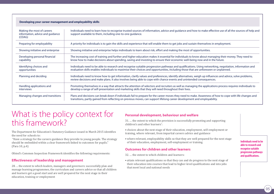#### **Developing your career management and employability skills**

| Making the most of careers<br>information, advice and quidance<br>(CEIAG) | Individuals need to learn how to recognise trusted sources of information, advice and guidance and how to make effective use of all the sources of help and<br>support available to them, including one-to-one guidance.                                                                       |
|---------------------------------------------------------------------------|------------------------------------------------------------------------------------------------------------------------------------------------------------------------------------------------------------------------------------------------------------------------------------------------|
| Preparing for employability                                               | A priority for individuals is to gain the skills and experience that will enable them to get jobs and sustain themselves in employment.                                                                                                                                                        |
| Showing initiative and enterprise                                         | Showing initiative and enterprise helps individuals to learn about risk, effort and making the most of opportunities.                                                                                                                                                                          |
| Developing personal financial<br>capability                               | The increasing cost of training and further and higher education makes it essential for individuals to know about managing their money. They need to<br>know how to make decisions about spending, saving and investing to ensure their economic well-being now and in the future.             |
| Identifying choices and<br>opportunities                                  | Individuals need to be able to research and recognise suitable progression pathways and qualifications. Using networking, negotiation, information and<br>evaluation skills enables individuals to maximise their choices and opportunities, including those that are unforeseen or unplanned. |
| Planning and deciding                                                     | Individuals need to know how to get information, clarify values and preferences, identify alternatives, weigh up influences and advice, solve problems,<br>review decisions and make plans. It also involves being able to cope with chance events and unintended consequences.                |
| Handling applications and<br><i>interviews</i>                            | Promoting themselves in a way that attracts the attention of selectors and recruiters as well as managing the applications process requires individuals to<br>develop a range of self-presentation and marketing skills that they will need throughout their lives.                            |
| Managing changes and transitions                                          | Plans and decisions can break down if individuals fail to prepare for the career moves they need to make. Awareness of how to cope with life changes and<br>transitions, partly gained from reflecting on previous moves, can support lifelong career development and employability.           |

### What is the policy context for this framework?

The Department for Education's Statutory Guidance issued in March 2015 identifies the need for schools to:

 "Have a strategy for the careers guidance they provide to young people. The strategy should be embedded within a clear framework linked to outcomes for pupils." (Para 10, p.4)

Ofsted's Common Inspection Framework identifies the following requirements:

#### **Effectiveness of leadership and management**

28. ... the extent to which leaders, managers and governors: successfully plan and manage learning programmes, the curriculum and careers advice so that all children and learners get a good start and are well prepared for the next stage in their education, training or employment

#### **Personal development, behaviour and welfare**

31. … the extent to which the provision is successfully promoting and supporting children's and other learners':

- choices about the next stage of their education, employment, self-employment or training, where relevant, from impartial careers advice and guidance
- where relevant, employability skills so that they are well prepared for the next stage of their education, employment, self-employment or training

#### **Outcomes for children and other learners**

- 32. … the extent to which children and learners:
- attain relevant qualifications so that they can and do progress to the next stage of their education into courses that lead to higher-level qualifications and into jobs that meet local and national needs

**Individuals need to be able to research and recognise suitable progression pathways and qualifications.**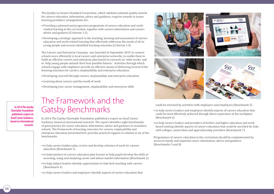The Quality in Careers Standard Consortium, which validates national quality awards for careers education, information, advice and guidance, requires awards to assess learning providers' arrangements for:

- Providing a planned and progressive programme of careers education and workrelated learning in the curriculum, together with careers information and careers advice and guidance (Criterion 1.3).
- Developing a strategic approach to the teaching, learning and assessment of careers education and work-related learning that effectively addresses the needs of all its young people and secures identified learning outcomes (Criterion 1.4)

The Careers and Enterprise Company was launched in September 2015 to connect schools more efficiently to local careers and enterprise networks, to enable them to build an effective careers and enterprise plan based on research on 'what works' and to 'help young people unleash their best possible futures.' Activities through which schools engage with employers provide an effective means of delivering several of the learning outcomes for careers, employability and enterprise education.

- Developing yourself through careers, employability and enterprise education
- Learning about careers and the world of work
- Developing your career management, employability and enterprise skills

## The Framework and the Gatsby Benchmarks

In 2014 The Gatsby Charitable Foundation published a report on Good Career Guidance, based on international research. The report identifies eight benchmarks of good practice for career education, information, advice and guidance in secondary schools. The Framework of learning outcomes for careers, employability and enterprise education presented here provides practical support in relation to six of the benchmarks:

- to help careers leaders plan, review and develop schemes of work for careers education (Benchmark 1)
- to help teachers of careers education plan lessons to help pupils develop the skills of accessing, using and analysing career and labour market information (Benchmark 2)
- to help subject leaders identify opportunities to link their teaching with careers (Benchmark 4)
- to help careers leaders and employers identify aspects of careers education that



could be enriched by activities with employers and employees (Benchmark 5)

- to help careers leaders and employers identify aspects of careers education that could be most effectively achieved through direct experience of the workplace (Benchmark 6)
- to help careers leaders and providers of further and higher education and workbased training identify aspects of careers education that could be enriched by links with colleges, universities and apprenticeship providers (Benchmark 7).

Programmes of careers education in the curriculum should be complemented by access to timely and impartial career information, advice and guidance (Benchmarks 3 and 8)

**In 2014 The Gatsby Charitable Foundation published a report on Good Career Guidance, based on international research.**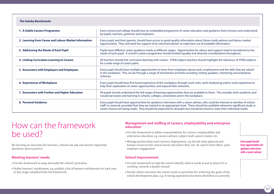| <b>The Gatsby Benchmarks</b>                          |                                                                                                                                                                                                                                                                                                                                                                                                    |
|-------------------------------------------------------|----------------------------------------------------------------------------------------------------------------------------------------------------------------------------------------------------------------------------------------------------------------------------------------------------------------------------------------------------------------------------------------------------|
| 1. A Stable Careers Programme                         | Every school and college should have an embedded programme of career education and guidance that is known and understood<br>by pupils, teachers, governor and employers.                                                                                                                                                                                                                           |
| 2. Learning from Career and Labour Market Information | Every pupil, and their parents, should have access to good quality information about future study options and labour market<br>opportunities. They will need the support of an informed adviser to make best use of available information.                                                                                                                                                         |
| 3. Addressing the Needs of Each Pupil                 | Pupils have different career guidance needs at different stages. Opportunities for advice and support need to be tailored to the<br>needs of each pupil. A school's careers programme should embed equality and diversity considerations throughout.                                                                                                                                               |
| 4. Linking Curriculum Learning to Careers             | All teachers should link curriculum learning with careers. STEM subject teachers should highlight the relevance of STEM subjects<br>for a wide range of career paths.                                                                                                                                                                                                                              |
| 5. Encounters with Employers and Employees            | Every pupil should have multiple opportunities to learn from employers about work, employment and the skills that are valued<br>in the workplace. This can be through a range of enrichment activities including visiting speakers, mentoring and enterprise<br>schemes.                                                                                                                           |
| 6. Experiences of Workplaces                          | Every pupil should have first-hand experience of the workplace through work visits, work shadowing and/or work experience to<br>help their exploration of career opportunities, and expand their networks.                                                                                                                                                                                         |
| 7. Encounters with Further and Higher Education       | All pupils should understand the full range of learning opportunities that are available to them. This includes both academic and<br>vocational routes and learning in schools, colleges, universities and in the workplace.                                                                                                                                                                       |
| 8. Personal Guidance                                  | Every pupil should have opportunities for guidance interviews with a career adviser, who could be internal (a member of school<br>staff) or external, provided that they are trained to an appropriate level. These should be available whenever significant study or<br>career choices are being made. They should be expected for all pupils but should be timed to meet their individual needs. |

### How can the framework be used?

By focusing on outcomes for learners, schools can ask and answer important questions about practice:

#### **Meeting learners' needs**

- Use the framework to map and audit the school's provision
- Define learners' entitlement, e.g. publish a list of learner entitlements for each year or key stage compiled from the framework

#### **Management and staffing of careers, employability and enterprise education**

- Use the framework to define responsibilities for careers, employability and enterprise education e.g. careers adviser, subject staff, careers leader, etc.
- Manage partnerships and resource deployment, e.g. decide what physical and human resources the school needs and where they can be used to best effect , plan employer engagement

#### **School Improvement**

- Use the framework to help the school identify what it needs to put in place if it is working towards a Quality Award
- Decide which outcomes the school needs to prioritise for achieving the goals of the school development plan, e.g. if raising aspirations has been identified as a priority

**Every pupil should have opportunities for guidance interviews with a career adviser**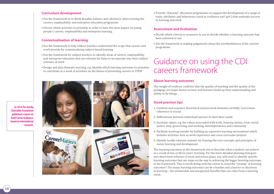#### **Curriculum development**

- Use the framework to re-think breadth, balance and coherence when revising the careers, employability and enterprise education programme
- Choose which activities to prioritise in order to have the most impact on young people's careers, employability and enterprise learning.

#### **Contextualisation of learning**

- Use the framework to help subject teachers understand the scope that careers and work provide for contextualising subject-based learning
- Use the framework for subject teachers to identify areas of careers, employability and enterprise education that are relevant for them to incorporate into their subject schemes of work
- Design and plan thematic learning, e.g. identify which learning outcomes to prioritise to contribute to a week of activities on the theme of promoting careers in STEM









• Provide 'character' education programmes to support the development of a range of traits, attributes and behaviours (such as resilience and 'grit') that underpin success in learning and work

#### **Assessment and Evaluation**

- Decide which criteria or measures to use to decide whether a learning outcome had been achieved or not
- Use the framework in making judgements about the worthwhileness of the current programme

### Guidance on using the CDI careers framework

#### **About learning outcomes**

The weight of evidence confirms that the quality of teaching and the quality of the pedagogy are major factors in how well learners build up their understanding and ability to do things.

#### **Good practice tips**

- 1. Combine and sequence theoretical and practical elements carefully. Curriculum coherence is crucial
- 2. Differentiate between individual learners to meet their needs
- 3. Inculcate values, e.g. the values associated with truth, honesty, justice, trust, social justice, duty, green living and working, interdependence and community
- 4. Facilitate learning transfer by building an expansive learning environment which includes activities such as work experience and cross curricular projects
- 5. Identify locally-relevant contexts for framing the core concepts and principles of career learning and development.

The learning outcomes in this framework aim to describe what a student can achieve as a result of two or three years' learning. For the more detailed planning that goes into short-term schemes of work and lesson plans, you will need to identify specific learning outcomes that are steps on the way to achieving the bigger learning outcomes in the framework. This is worth doing with the caveat to avoid the 'tyranny' of learning outcomes'! Too many learning outcomes can be a burden and a barrier to discovery in learning – the unintended and unexpected benefits that can come from a learning event.

**In 2014 The Gatsby Charitable Foundation published a report on Good Career Guidance, based on international research.**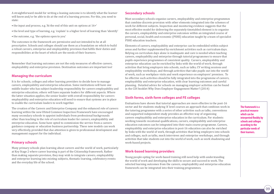A straightforward model for writing a leaning outcome is to identify what the learner will know and/or be able to do at the end of a learning process. For this, you need to state:

- the input and process, e.g. 'At the end of this unit on options at 16+'
- the level and type of learning, e.g. 'explain' is a higher level of learning than 'identify'
- the outcome, e.g. 'the options open to you'

The outcomes in the framework are permissive and not intended to be at all prescriptive. Schools and colleges should use them as a foundation on which to build a robust careers, enterprise and employability provision that fulfils their duties and responsibilities at the heart of which are the needs of their learners.

Remember that learning outcomes are not the only measures of effective careers, employability and enterprise provision. Destination outcomes are important too!

#### **Managing the curriculum**

It is for schools, colleges and other learning providers to decide how to manage careers, employability and enterprise education. Some institutions will have one middle leader who has subject leadership responsibility for careers employability and enterprise education; others will have separate leaders for different aspects. Where the latter situation applies, the senior leader with overall responsibility for careers employability and enterprise education will need to ensure that systems are in place to enable the curriculum leaders to work together.

The creation of the Careers and Enterprise Company and the enhanced role of careers learning within the new Ofsted Common Inspection Framework have encouraged many secondary schools to appoint individuals from professional backgrounds other than teaching to the role of curriculum leader for careers, employability and enterprise education. Some have opted to commission the service from a careers guidance company or education business partnership. These new models can work very effectively, provided that due attention is given to professional development and management support for the individual.

#### **Primary schools**

Many primary schools plan learning about careers and the world of work, particularly at Key Stage 2 where career learning is part of the Citizenship framework. Rather than making separate provision, they may wish to integrate careers, employability and enterprise learning into existing subjects, thematic learning, celebratory events and the everyday life of the school.

#### **Secondary schools**

Most secondary schools organise careers, employability and enterprise programmes that combine discrete provision with other elements integrated into the schemes of work for different subjects. Inspection and monitoring evidence suggests that the most effective model for delivering the separately timetabled element is to organise the careers, employability and enterprise outcomes within an integrated course of personal, social, health and economic (PSHE) education taught by a team of specialist PSHE education teachers.

Elements of careers, employability and enterprise can be embedded within subject areas and further supplemented by enrichment activities such as curriculum days. Relying on curriculum days alone is inadequate and care is needed when teaching careers, employability and enterprise through tutorial programmes to ensure that pupils experience programmes of consistent quality. Careers, employability and enterprise education can be enriched by links with the world of work, through activities that bring employers into schools, such as talks, CV writing sessions and employability workshops, and through activities that take pupils out into the world of work, such as workplace visits and work experience on employers' premises. To be effective such activities should be fully integrated into the programme of careers, employability and enterprise education, with clear learning outcomes and careful planning. Detailed advice for schools on managing employer activities can be found in the CDI booklet Why Does Employer Engagement Matter? (2014)

#### **Sixth forms, sixth form colleges and FE colleges**

Evaluations have shown that tutorial approaches are more effective in the post-16 sector and for students studying 'A' level courses an approach that combines work in the tutoring programme with a series of other activities such as talks, conventions and supported independent study provides an effective way of organising careers employability and enterprise education in the curriculum. For students working towards vocational qualifications, careers, employability and enterprise education outcomes can be integrated into their main course programme. Careers, employability and enterprise education in post-16 education can also be enriched by links with the world of work, through activities that bring employers into schools and colleges, such as talks, mock interviews and enterprise workshops, and through activities that take students out into the world of work, such as work shadowing and work-based projects.

#### **Work-based learning providers**

Young people opting for work-based training still need help with understanding the world of work and developing the skills to secure and succeed in work. The selected learning outcomes from the careers, employability and enterprise education framework can be integrated into their training programmes.

**The framework is a practical resource which can be interpreted flexibly by schools and colleges according to the particular needs of their learners.**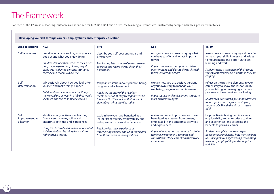# The Framework

For each of the 17 areas of learning, outcomes are identified for KS2, KS3, KS4 and 16-19. The learning outcomes are illustrated by sample activities, presented in italics.

| <b>Area of learning</b>              | KS <sub>2</sub>                                                                                                                                                                                                                                              | KS <sub>3</sub>                                                                                                                                                                                                                                    | KS4                                                                                                                                                                                                                                                                                     | $16 - 19$                                                                                                                                                                                                                                                                                                                                                     |
|--------------------------------------|--------------------------------------------------------------------------------------------------------------------------------------------------------------------------------------------------------------------------------------------------------------|----------------------------------------------------------------------------------------------------------------------------------------------------------------------------------------------------------------------------------------------------|-----------------------------------------------------------------------------------------------------------------------------------------------------------------------------------------------------------------------------------------------------------------------------------------|---------------------------------------------------------------------------------------------------------------------------------------------------------------------------------------------------------------------------------------------------------------------------------------------------------------------------------------------------------------|
| Self-awareness                       | describe what you are like, what you are<br>good at and what you enjoy doing<br>Children describe themselves to their e-pen<br>pals, they keep learning diaries, they do<br>card sorts to identify personal attributes<br>that 'like me', 'not much like me' | describe yourself, your strengths and<br>preferences<br>Pupils complete a range of self-assessment<br>exercises and record the results in their<br>e-portfolios                                                                                    | recognise how you are changing, what<br>you have to offer and what's important<br>to you<br>Pupils complete an occupational interests<br>questionnaire and discuss the results with<br>their mentor/tutor/coach                                                                         | assess how you are changing and be able<br>to match your skills, interests and values<br>to requirements and opportunities in<br>learning and work<br>Students write a statement of their career<br>values for their personal e-portfolio they are<br>keeping                                                                                                 |
| Self-<br>determination               | talk positively about how you look after<br>yourself and make things happen<br>Children draw or write about the things<br>they would use or wear in a job they would<br>like to do and talk to someone about it                                              | tell positive stories about your wellbeing,<br>progress and achievement<br>Pupils tell the story of their earliest<br>memories of what they were good at and<br>interested in. They look at their stories for<br>clues about what they like today  | explain how you use positive versions<br>of your own story to manage your<br>wellbeing, progress and achievement<br>Pupils set personal and learning targets to<br>build on their strengths                                                                                             | reflect on the positive elements in your<br>career story to show the responsibility<br>you are taking for managing your own<br>progress, achievement and wellbeing<br>Students co-construct a personal statement<br>for an application they are making (e.g.<br>through UCAS) with the aid of a trusted<br>adult                                              |
| Self-<br>improvement as<br>a learner | identify what you like about learning<br>from careers, employability and<br>enterprise activities and experiences<br>Using 'Circle Time' children talk about what<br>is different about learning from a visitor<br>rather than a teacher                     | explain how you have benefited as a<br>learner from careers, employability and<br>enterprise activities and experiences<br>Pupils review their experience of<br>interviewing a visitor and what they learnt<br>from the answers to their questions | review and reflect upon how you have<br>benefitted as a learner from careers,<br>employability and enterprise activities<br>and experiences<br>Pupils who have had placements in similar<br>working environments compare and<br>contrast what they learnt from their work<br>experience | be proactive in taking part in careers,<br>employability and enterprise activities<br>and experiences and assessing the<br>benefits to you as a learner<br>Students complete a learning styles<br>questionnaire and assess how they can best<br>use their preferred style when participating<br>in careers, employability and enterprise<br><i>activities</i> |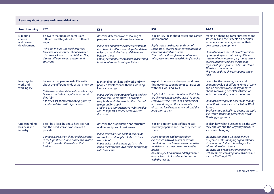#### **Learning about careers and the world of work**

| <b>Area of learning</b>                            | KS <sub>2</sub>                                                                                                                                                                                                                                                                  | KS <sub>3</sub>                                                                                                                                                                                                                                                                                                                                                               | KS4                                                                                                                                                                                                                                                                                                                                                                               | $16 - 19$                                                                                                                                                                                                                                                                                                                                                                                                                                                          |
|----------------------------------------------------|----------------------------------------------------------------------------------------------------------------------------------------------------------------------------------------------------------------------------------------------------------------------------------|-------------------------------------------------------------------------------------------------------------------------------------------------------------------------------------------------------------------------------------------------------------------------------------------------------------------------------------------------------------------------------|-----------------------------------------------------------------------------------------------------------------------------------------------------------------------------------------------------------------------------------------------------------------------------------------------------------------------------------------------------------------------------------|--------------------------------------------------------------------------------------------------------------------------------------------------------------------------------------------------------------------------------------------------------------------------------------------------------------------------------------------------------------------------------------------------------------------------------------------------------------------|
| Exploring<br>careers<br>and careers<br>development | be aware that people's careers are<br>different and they develop in different<br>ways<br>'Who am I?' quiz. The teacher reveals<br>ten clues, one at a time, about a career<br>of someone known to the children. They<br>discuss different career patterns and<br>structures      | describe different ways of looking at<br>people's careers and how they develop<br>Pupils find out how the careers of different<br>members of staff have developed and then<br>reflect on the similarities and difference<br>between them.<br>Employees support the teacher in delivering<br>traditional career learning activities                                            | explain key ideas about career and career<br>development<br>Pupils weigh up the pros and cons of<br>single-track careers, serial careers, portfolio<br>careers and lifestyle careers.<br>This could be through a series of careers<br>talks presented in a 'speed dating' exercise                                                                                                | reflect on changing career processes and<br>structures and their effects on people's<br>experience and management of their<br>own career development<br>Students explore the notion of 'careership'<br>by comparing and contrasting different<br>systems of advancement, e.g. 'bureaucratic<br>careers', apprenticeships, the training<br>regimes of sportspeople and instant fame<br>TV talent competitions.<br>This may be through inspirational career<br>talks |
| Investigating<br>work and<br>working life          | be aware that people feel differently<br>about the different kinds of work they do<br>Children interview visitors about what they<br>like most and what they like least about<br>their jobs.<br>A themed set of careers talks e.g. given by<br>members of the medical profession | identify different kinds of work and why<br>people's satisfaction with their working<br>lives can change<br>Pupils explore the purpose of work clothes/<br>uniforms/'business attire' and whether<br>people like or dislike wearing them (linked<br>to non-uniform day).<br>Students use comprehensive website video<br>clips to support a teacher/employer led<br>discussion | explain how work is changing and how<br>this may impact on people's satisfaction<br>with their working lives<br>Pupils talk to alumni about how their jobs<br>are likely to change in the next 5-10 years.<br>Employers are invited in to a humanities<br>lesson and support the teacher when<br>discussing local changes to work and the<br>impact on society                    | recognise the personal, social and<br>economic value of different kinds of work<br>and be critically aware of key debates<br>about improving people's satisfaction<br>with their working lives in the future<br>Students interrogate the key ideas coming<br>out of think tanks such as the Future Work<br>Forum.<br>Employers are invited in to debate the topic<br>'life-work balance' as part of the Critical<br>Thinking programme                             |
| Understanding<br>business and<br>industry          | describe a local business, how it is run<br>and the products and/or services it<br>provides<br>Conduct a project on shops and businesses<br>in the high street. A local business is invited<br>to talk to year 6 children about their<br>business                                | describe the organisation and structure<br>of different types of businesses<br>Pupils create a visual aid that shows the<br>contractors and suppliers linked to their<br>own school.<br>Pupils invite the site manager in to talk<br>about the processes involved in contracting<br>with businesses                                                                           | explain different types of businesses,<br>how they operate and how they measure<br>success<br>Pupils compare and contrast their<br>experience in two different enterprise<br>simulations - one based on a shareholder<br>model and the other on a co-operative<br>model.<br>An employee from both models prepares<br>and delivers a talk and question session<br>with the teacher | explain how what businesses do, the way<br>they operate and the way they measure<br>success is changing<br>Students complete a work experience<br>assignment into changing organisational<br>structures and follow this up by pooling<br>information about trends.<br>Students use a range of comprehensive<br>websites for researching success measures<br>such as McKinsey's '7's                                                                                |
|                                                    |                                                                                                                                                                                                                                                                                  |                                                                                                                                                                                                                                                                                                                                                                               |                                                                                                                                                                                                                                                                                                                                                                                   | Continued over                                                                                                                                                                                                                                                                                                                                                                                                                                                     |

*Continued over ...*

 $\left(11\right)$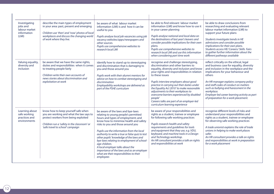| Investigating<br>jobs and<br>labour market<br>information<br>(LMI) | describe the main types of employment<br>in your area: past, present and emerging<br>Children use 'then' and 'now' photos of local<br>workplaces and discuss the changing world<br>of work where they live.               | be aware of what labour market<br>information (LMI) is and how it can be<br>useful to you<br>Pupils analyse local job vacancies using job<br>vacancy websites/apps/newspapers and<br>other sources.<br>Pupils use comprehensive websites to<br>research local LMI                                                                                                                                                                                                                                                                                  | be able to find relevant labour market<br>information (LMI) and know how to use it<br>in your career planning<br>Pupils analyse national and local data on<br>the destinations of last year's leavers and<br>consider possible implications for their own<br>plans.<br>Pupils use comprehensive websites to<br>research local LMI and use this information<br>when considering part time work                                                                                                                    | be able to draw conclusions from<br>researching and evaluating relevant<br>labour market information (LMI) to<br>support your future plans<br>Students investigate trends in HE<br>admissions and consider possible<br>implications for their own plans.<br>Students access HE/ Careers/ Skills Fairs<br>to gather further information about the<br>different pathways available                                    |
|--------------------------------------------------------------------|---------------------------------------------------------------------------------------------------------------------------------------------------------------------------------------------------------------------------|----------------------------------------------------------------------------------------------------------------------------------------------------------------------------------------------------------------------------------------------------------------------------------------------------------------------------------------------------------------------------------------------------------------------------------------------------------------------------------------------------------------------------------------------------|------------------------------------------------------------------------------------------------------------------------------------------------------------------------------------------------------------------------------------------------------------------------------------------------------------------------------------------------------------------------------------------------------------------------------------------------------------------------------------------------------------------|---------------------------------------------------------------------------------------------------------------------------------------------------------------------------------------------------------------------------------------------------------------------------------------------------------------------------------------------------------------------------------------------------------------------|
| Valuing equality,<br>diversity and<br><i>inclusion</i>             | be aware that we have the same rights,<br>duties and responsibilities when it comes<br>to treating people fairly<br>Children write their own accounts of<br>news stories about discrimination and<br>exploitation at work | identify how to stand up to stereotyping<br>and discrimination that is damaging to<br>you and those around you<br>Pupils work with their alumni mentors for<br>advice on how to combat stereotyping and<br>discrimination<br>Employability workshops are delivered as<br>part of the PSHE curriculum                                                                                                                                                                                                                                               | recognise and challenge stereotyping,<br>discrimination and other barriers to<br>equality, diversity and inclusion and know<br>your rights and responsibilities in relation<br>to these issues<br>Pupils interview employers about good<br>practice in carrying out their duties under<br>the Equality Act 2010' to make reasonable<br>adjustments to their workplaces to<br>overcome barriers experienced by disabled<br>people'<br>Careers talks are part of an employer-led<br>curriculum learning experience | reflect critically on the ethical, legal<br>and business case for equality, diversity<br>and inclusion in the workplace and the<br>implications for your behaviour and<br>others<br>An HR manager explains company policy<br>and staff codes of conduct on matters<br>such as bullying and harassment in the<br>workplace.<br>Employer led career learning activity as part<br>of preparation for a work placement. |
| Learning about<br>safe working<br>practices and<br>environments    | know how to keep yourself safe when<br>you are working and what the law says to<br>protect workers from being exploited<br>Children run a 'safety in the classroom' or<br>'safe travel to school' campaign                | be aware of the laws and bye-laws<br>relating to young people's permitted<br>hours and types of employment; and<br>know how to minimise health and safety<br>risks to you and those around you<br>Pupils use the information from the local<br>authority to write a true or false quiz to test<br>other pupils' knowledge of the laws and<br>bye-laws relating to employment of school-<br>age children.<br>A local employer talks about the<br>importance of the laws and as an employer<br>what are their responsibilities to their<br>employees | be aware of your responsibilities and<br>rights as a student, trainee or employee<br>for following safe working practices<br>Pupils research health and safety<br>requirements and guidelines for tools<br>and equipment that they use, e.g. VDU,<br>keyboard, and machine tools in a Design<br>and Technology workshop.<br>An HR consultant provides a talk on rights<br>and responsibilities at work                                                                                                           | recognise different levels of risks and<br>understand your responsibilities and<br>rights as a student, trainee or employee<br>for observing safe working practices<br>A trade unionist explains the role of trade<br>unions in helping to make work places<br>safer.<br>An HR consultant provides a talk on rights<br>and responsibilities at work in preparation<br>for a work placement                          |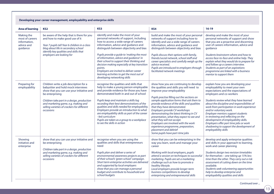**Developing your career management, employability and enterprise skills**

| <b>Area of learning</b>                                                 | KS <sub>2</sub>                                                                                                                                                                                                                                                                                | KS <sub>3</sub>                                                                                                                                                                                                                                                                                                                                                                                                                                                                                                                       | KS4                                                                                                                                                                                                                                                                                                                                                                                                                                                                                                                                                                                             | $16 - 19$                                                                                                                                                                                                                                                                                                                                                                                                                                                                                                                                   |
|-------------------------------------------------------------------------|------------------------------------------------------------------------------------------------------------------------------------------------------------------------------------------------------------------------------------------------------------------------------------------------|---------------------------------------------------------------------------------------------------------------------------------------------------------------------------------------------------------------------------------------------------------------------------------------------------------------------------------------------------------------------------------------------------------------------------------------------------------------------------------------------------------------------------------------|-------------------------------------------------------------------------------------------------------------------------------------------------------------------------------------------------------------------------------------------------------------------------------------------------------------------------------------------------------------------------------------------------------------------------------------------------------------------------------------------------------------------------------------------------------------------------------------------------|---------------------------------------------------------------------------------------------------------------------------------------------------------------------------------------------------------------------------------------------------------------------------------------------------------------------------------------------------------------------------------------------------------------------------------------------------------------------------------------------------------------------------------------------|
| Making the<br>most of careers<br>information,<br>advice and<br>guidance | be aware of the help that is there for you<br>and how to make good use of it<br>Year 7 pupils tell Year 6 children in a class<br>blog about life in secondary school<br>identify key qualities and skills that<br>employers are looking for                                                    | identify and make the most of your<br>personal networks of support, including<br>how to access a wide range of careers<br>information, advice and guidance and<br>distinguish between objectivity and bias<br>Pupils provide a guide to 'making the most<br>of information, advice and guidance' in<br>their school to support their thinking and<br>decision making especially at key transition<br>points.<br>Employers are invited to deliver career<br>learning activities to get the most out of<br>developing networking skills | build and make the most of your personal<br>networks of support including how to<br>identify and use a wide range of careers<br>information, advice and guidance and<br>distinguish between objectivity and bias<br>Pupils discuss their options with family,<br>friends/social network, school staff and<br>career specialists and carefully weigh up the<br>advice received.<br>Pupils are introduced to employers through<br>facilitated network meetings                                                                                                                                    | develop and make the most of your<br>personal networks of support and show<br>that you are a proactive and discerning<br>user of careers information, advice and<br>quidance<br>Students brainstorm where and how to<br>access face-to-face and online help. They<br>explain what they would do to prepare for<br>and follow up a careers interview.<br>Students as part of an aspirations<br>programme are linked with a business<br>mentor to support them                                                                                |
| Preparing for<br>employability                                          | Children write a job description for a<br>babysitter and hold mock interviews<br>show that you can use your initiative and<br>be enterprising<br>Children take part in a design, production<br>and marketing game, e.g. making and<br>selling varieties of crackers for different<br>occasions | recognise the qualities and skills that<br>help to make a young person employable<br>and provide evidence for those you have<br>demonstrated both in and out of school<br>Pupils keep and maintain a skills log<br>recording their best demonstrations of the<br>qualities and skills needed for employability.<br>Employers provide an introduction to what<br>are employability skills as part of the career<br>-led curriculum<br>Pupils are taken as a group to a workplace<br>to see the skills in action                        | show how you are continuing to develop<br>the qualities and skills you will need to<br>improve your employability<br>Pupils practise filling out the sections on<br>sample application forms that ask them to<br>provide evidence of the skills and qualities<br>that they have demonstrated.<br>Employers provide CV workshops<br>demonstrating the latest thinking in CV<br>presentation, what they expect to see and<br>what they will not accept.<br>Employers are involved with the work<br>experience programme, preparation,<br>placement and debrief<br>Some pupils have part-time jobs | explain how you are developing your<br>employability to meet your own<br>expectations and the expectations of<br>employers and co-workers<br>Students review what they have learned<br>about the discipline and responsibilities of<br>work from participation in work experience<br>and/or voluntary work.<br>Employer mentors support students<br>in reviewing and reflecting on the<br>development of employability skills.<br>Employers offer part time jobs or work<br>shadowing to support the development of<br>employability skills |
| Showing<br>initiative and<br>enterprise                                 | show that you can use your initiative and<br>be enterprising<br>Children take part in a design, production<br>and marketing game, e.g. making and<br>selling varieties of crackers for different<br>occasions                                                                                  | recognise when you are using the<br>qualities and skills that entrepreneurs<br>need<br>Pupils plan and deliver a series of<br>environmental awareness projects as part<br>of their school's 'green school' campaign.<br>Short term enterprise activities are delivered<br>and supported by local employers<br>show that you can manage a personal<br>budget and contribute to household and<br>school budgets                                                                                                                         | show that you can be enterprising in the<br>way you learn, work and manage your<br>career<br>Working with local employers, pupils<br>attend a session on techniques to successful<br>marketing. Pupils are set a marketing<br>challenge such as how to promote a<br>healthy lifestyle.<br>Local employers provide longer-term<br>business competitions to develop<br>enterprising and entrepreneurial skills                                                                                                                                                                                    | develop and apply enterprise qualities<br>and skills in your approach to learning,<br>work and career planning<br>Students design two revision timetables<br>for themselves - one taking up 15% less<br>time than the other. They carry out a risk<br>assessment of cutting down on the time<br>available.<br>Students seek volunteering opportunities<br>help to develop enterprise and<br>employability qualities and skills                                                                                                              |

 $\binom{13}{ }$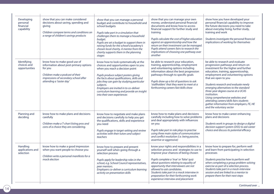| Developing<br>personal<br>financial<br>capability | show that you can make considered<br>decisions about saving, spending and<br>giving<br>Children compare terms and conditions on<br>a range of children's savings products                  | show that you can manage a personal<br>budget and contribute to household and<br>school budgets<br>Pupils take part in a simulation that<br>challenges them to manage a household<br>budget.<br>Pupils are set a budget to support them in<br>raising funds for the school's/academy's<br>chosen local charity. A mentor from the<br>charity supports them in the planning<br>stages      | show that you can manage your own<br>money, understand personal financial<br>documents and know how to access<br>financial support for further study and<br>training<br>Pupils calculate the cost of higher education<br>against an apprenticeship and how the<br>return on their investment can be managed.<br>Pupils attend careers fairs to research the<br>implications of choosing one pathway over<br>another         | show how you have developed your<br>personal financial capability to improve<br>the future decisions you need to take<br>about everyday living, further study,<br>training and work<br>Students investigate the personal financial<br>implications of working for themselves                                                                                                                                                                                                                                          |
|---------------------------------------------------|--------------------------------------------------------------------------------------------------------------------------------------------------------------------------------------------|-------------------------------------------------------------------------------------------------------------------------------------------------------------------------------------------------------------------------------------------------------------------------------------------------------------------------------------------------------------------------------------------|-----------------------------------------------------------------------------------------------------------------------------------------------------------------------------------------------------------------------------------------------------------------------------------------------------------------------------------------------------------------------------------------------------------------------------|-----------------------------------------------------------------------------------------------------------------------------------------------------------------------------------------------------------------------------------------------------------------------------------------------------------------------------------------------------------------------------------------------------------------------------------------------------------------------------------------------------------------------|
| Identifying<br>choices and<br>opportunities       | know how to make good use of<br>information about post-primary options<br>for you<br>Children make a podcast of their<br>impressions of secondary school after<br>attending a 'taster day' | know how to look systematically at the<br>choices and opportunities open to you<br>when you reach a decision point<br>Pupils produce subject posters giving<br>the facts about qualifications, skills and<br>jobs they can gain by studying particular<br>subjects.<br>Employers are invited in to co-deliver<br>curriculum learning and provide an insight<br>into their own experiences | be able to research your education,<br>training, apprenticeship, employment<br>and volunteering options including<br>information about the best progression<br>pathways through to specific goals<br>Pupils draw up a list of questions to ask<br>'stallholders' that they want to meet at a<br>forthcoming careers fair/skills show                                                                                        | be able to research and evaluate<br>progression pathways and return on<br>investment for the higher and further<br>education, training, apprenticeship,<br>employment and volunteering options<br>that are open to you<br>Students research and evaluate newly<br>emerging alternatives to the standard<br>three-year degree course at a UCAS<br>institution.<br>Using comprehensive websites and<br>attending careers/skills fairs students<br>gather information from employers, FE, HE<br>and the voluntary sector |
| Planning and<br>deciding                          | know how to make plans and decisions<br>carefully<br>Children make a T-chart listing pros and<br>cons of a choice they are considering.                                                    | know how to negotiate and make plans<br>and decisions carefully to help you get<br>the qualifications, skills and experience<br>you need<br>Pupils engage in target-setting and review<br>activities with their tutors and subject<br>teachers                                                                                                                                            | know how to make plans and decisions<br>carefully including how to solve problems<br>and deal appropriately with influences<br>on you<br>Pupils take part in role plays to practise<br>using three main styles of communication<br>and conflict resolution (i.e. being passive,<br>assertive or aggressive)                                                                                                                 | know how to make career enhancing<br>plans and decisions<br>Students work in groups to design a digital<br>decision support system (DSS) to aid career<br>choice and discuss its potential efficacy                                                                                                                                                                                                                                                                                                                   |
| Handling<br>applications and<br>selection         | know how to make a good impression<br>when you want people to choose you<br>Children write a personal manifesto for a<br>mock election                                                     | know how to prepare and present<br>yourself well when going through a<br>selection process<br>Pupils apply for leadership roles in the<br>school, e.g. School Council representatives,<br>peer mentors.<br>Employers co-deliver a curriculum learning<br>activity on presentation skills                                                                                                  | know your rights and responsibilities in a<br>selection process and strategies to use to<br>improve your chances of being chosen<br>Pupils complete a 'true' or 'false' quiz<br>about questions relating to equality of<br>opportunity that interviewers are not<br>allowed to ask candidates.<br>Students take part in a mock interview in<br>preparation for their forthcoming work<br>experience interview and placement | know how to prepare for, perform well<br>and learn from participating in selection<br>processes<br>Students practise how to perform well<br>when completing a group problem-solving<br>exercise as part of a selection process.<br>Students take part in a mock-interview<br>session and are linked to a mentor to<br>prepare them for their next steps                                                                                                                                                               |

 $\mathbf{I}$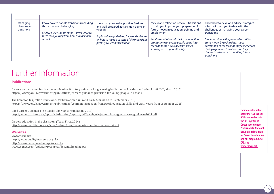| Managing<br>changes and<br>transitions | know how to handle transitions including<br>those that are challenging<br>Children use 'Google maps - street view' to<br>trace their journey from home to their new<br>school | show that you can be positive, flexible<br>and well-prepared at transition points in<br>your life<br>Pupils write a guide/blog for year 6 children<br>on how to make a success of the move from<br>primary to secondary school | review and reflect on previous transitions<br>to help you improve your preparation for<br>future moves in education, training and<br>employment<br>Pupils say what should be in an induction<br>programme for young people going into<br>the sixth form, a college, work-based<br>learning or an apprenticeship | know how to develop and use strategies<br>which will help you to deal with the<br>challenges of managing your career<br>transitions<br>Students critique the personal transition<br>curve model by seeing if its stages<br>correspond to the feelings they experienced<br>during a previous transition and they<br>discuss its relevance to handling future<br>transitions |
|----------------------------------------|-------------------------------------------------------------------------------------------------------------------------------------------------------------------------------|--------------------------------------------------------------------------------------------------------------------------------------------------------------------------------------------------------------------------------|-----------------------------------------------------------------------------------------------------------------------------------------------------------------------------------------------------------------------------------------------------------------------------------------------------------------|----------------------------------------------------------------------------------------------------------------------------------------------------------------------------------------------------------------------------------------------------------------------------------------------------------------------------------------------------------------------------|

## Further Information

#### **Publications**

Careers guidance and inspiration in schools – Statutory guidance for governing bodies, school leaders and school staff (DfE, March 2015) https://www.gov.uk/government/publications/careers-guidance-provision-for-young-people-in-schools

The Common Inspection Framework for Education, Skills and Early Years (Ofsted, September 2015) https://www.gov.uk/government/publications/common-inspection-framework-education-skills-and-early-years-from-september-2015

Good Career Guidance (The Gatsby Charitable Foundation, 2014) http://www.gatsby.org.uk/uploads/education/reports/pdf/gatsby-sir-john-holman-good-career-guidance-2014.pdf

Careers education in the classroom (Teach First, 2014) http://www.teachfirst.org.uk/sites/default/files/Careers-in-the-classroom-report.pdf

#### **Websites**

www.thecdi.net http://www.qualityincareers.org.uk/ http://www.careersandenterprise.co.uk/ www.cegnet.co.uk/uploads/resources/Essentialreading.pdf

**For more information about the CDI, School Affiliate membership; the UK Register of Career Development Professionals; National Occupational Standards for Career Development and our programme of CPD, see www.thecdi.net**